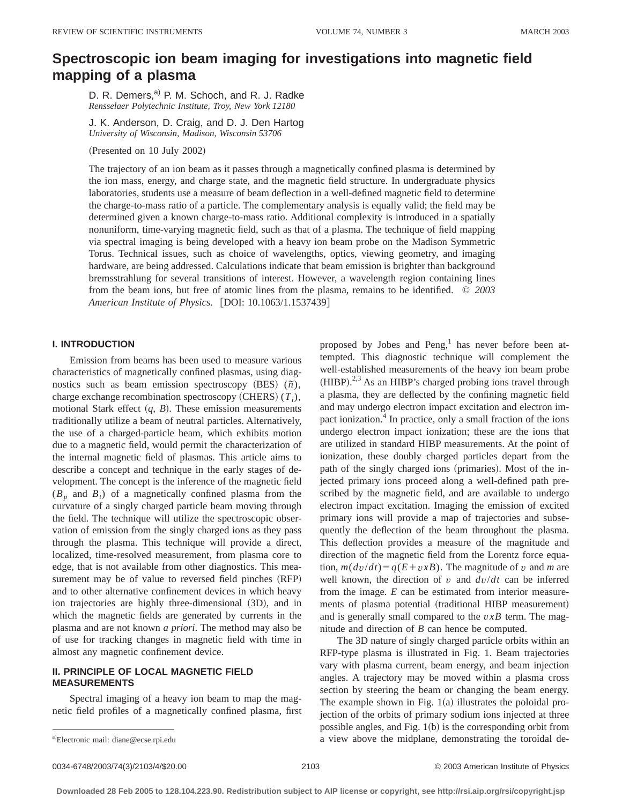# **Spectroscopic ion beam imaging for investigations into magnetic field mapping of a plasma**

D. R. Demers,<sup>a)</sup> P. M. Schoch, and R. J. Radke *Rensselaer Polytechnic Institute, Troy, New York 12180*

J. K. Anderson, D. Craig, and D. J. Den Hartog *University of Wisconsin, Madison, Wisconsin 53706*

(Presented on 10 July 2002)

The trajectory of an ion beam as it passes through a magnetically confined plasma is determined by the ion mass, energy, and charge state, and the magnetic field structure. In undergraduate physics laboratories, students use a measure of beam deflection in a well-defined magnetic field to determine the charge-to-mass ratio of a particle. The complementary analysis is equally valid; the field may be determined given a known charge-to-mass ratio. Additional complexity is introduced in a spatially nonuniform, time-varying magnetic field, such as that of a plasma. The technique of field mapping via spectral imaging is being developed with a heavy ion beam probe on the Madison Symmetric Torus. Technical issues, such as choice of wavelengths, optics, viewing geometry, and imaging hardware, are being addressed. Calculations indicate that beam emission is brighter than background bremsstrahlung for several transitions of interest. However, a wavelength region containing lines from the beam ions, but free of atomic lines from the plasma, remains to be identified. © *2003 American Institute of Physics.* [DOI: 10.1063/1.1537439]

#### **I. INTRODUCTION**

Emission from beams has been used to measure various characteristics of magnetically confined plasmas, using diagnostics such as beam emission spectroscopy  $(BES)$   $(\tilde{n})$ , charge exchange recombination spectroscopy  $(CHERS) (T_i)$ , motional Stark effect  $(q, B)$ . These emission measurements traditionally utilize a beam of neutral particles. Alternatively, the use of a charged-particle beam, which exhibits motion due to a magnetic field, would permit the characterization of the internal magnetic field of plasmas. This article aims to describe a concept and technique in the early stages of development. The concept is the inference of the magnetic field  $(B_p$  and  $B_t$ ) of a magnetically confined plasma from the curvature of a singly charged particle beam moving through the field. The technique will utilize the spectroscopic observation of emission from the singly charged ions as they pass through the plasma. This technique will provide a direct, localized, time-resolved measurement, from plasma core to edge, that is not available from other diagnostics. This measurement may be of value to reversed field pinches (RFP) and to other alternative confinement devices in which heavy ion trajectories are highly three-dimensional (3D), and in which the magnetic fields are generated by currents in the plasma and are not known *a priori*. The method may also be of use for tracking changes in magnetic field with time in almost any magnetic confinement device.

#### **II. PRINCIPLE OF LOCAL MAGNETIC FIELD MEASUREMENTS**

Spectral imaging of a heavy ion beam to map the magnetic field profiles of a magnetically confined plasma, first proposed by Jobes and Peng, $<sup>1</sup>$  has never before been at-</sup> tempted. This diagnostic technique will complement the well-established measurements of the heavy ion beam probe  $(HIBP).^{2,3}$  As an HIBP's charged probing ions travel through a plasma, they are deflected by the confining magnetic field and may undergo electron impact excitation and electron impact ionization.4 In practice, only a small fraction of the ions undergo electron impact ionization; these are the ions that are utilized in standard HIBP measurements. At the point of ionization, these doubly charged particles depart from the path of the singly charged ions (primaries). Most of the injected primary ions proceed along a well-defined path prescribed by the magnetic field, and are available to undergo electron impact excitation. Imaging the emission of excited primary ions will provide a map of trajectories and subsequently the deflection of the beam throughout the plasma. This deflection provides a measure of the magnitude and direction of the magnetic field from the Lorentz force equation,  $m(dv/dt) = q(E + vxB)$ . The magnitude of *v* and *m* are well known, the direction of *v* and *dv*/*dt* can be inferred from the image. *E* can be estimated from interior measurements of plasma potential (traditional HIBP measurement) and is generally small compared to the *vxB* term. The magnitude and direction of *B* can hence be computed.

The 3D nature of singly charged particle orbits within an RFP-type plasma is illustrated in Fig. 1. Beam trajectories vary with plasma current, beam energy, and beam injection angles. A trajectory may be moved within a plasma cross section by steering the beam or changing the beam energy. The example shown in Fig.  $1(a)$  illustrates the poloidal projection of the orbits of primary sodium ions injected at three possible angles, and Fig.  $1(b)$  is the corresponding orbit from a view above the midplane, demonstrating the toroidal de-

0034-6748/2003/74(3)/2103/4/\$20.00 © 2003 American Institute of Physics 2103

Electronic mail: diane@ecse.rpi.edu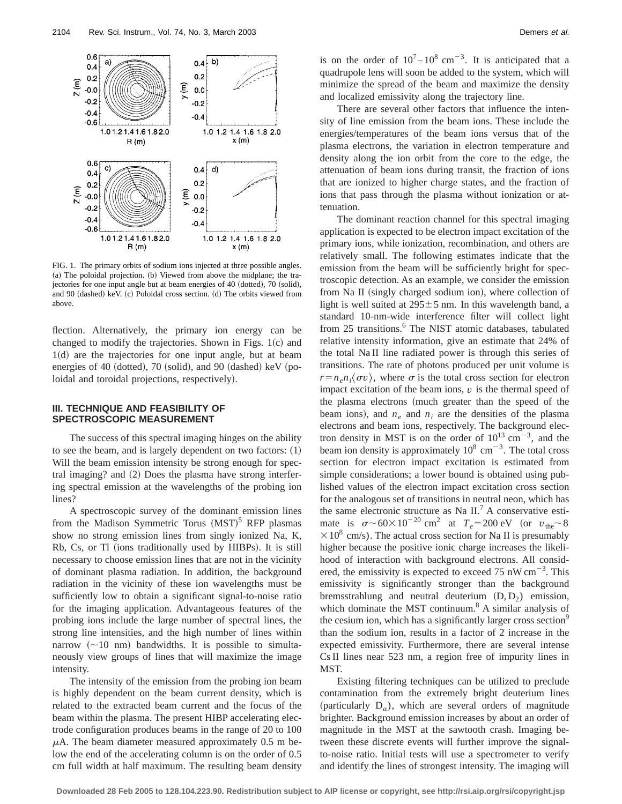

FIG. 1. The primary orbits of sodium ions injected at three possible angles.  $(a)$  The poloidal projection.  $(b)$  Viewed from above the midplane; the trajectories for one input angle but at beam energies of  $40$  (dotted),  $70$  (solid), and 90 (dashed) keV. (c) Poloidal cross section. (d) The orbits viewed from above.

flection. Alternatively, the primary ion energy can be changed to modify the trajectories. Shown in Figs.  $1(c)$  and  $1(d)$  are the trajectories for one input angle, but at beam energies of 40 (dotted), 70 (solid), and 90 (dashed) keV (poloidal and toroidal projections, respectively).

#### **III. TECHNIQUE AND FEASIBILITY OF SPECTROSCOPIC MEASUREMENT**

The success of this spectral imaging hinges on the ability to see the beam, and is largely dependent on two factors:  $(1)$ Will the beam emission intensity be strong enough for spectral imaging? and  $(2)$  Does the plasma have strong interfering spectral emission at the wavelengths of the probing ion lines?

A spectroscopic survey of the dominant emission lines from the Madison Symmetric Torus  $(MST)^5$  RFP plasmas show no strong emission lines from singly ionized Na, K, Rb, Cs, or Tl (ions traditionally used by HIBPs). It is still necessary to choose emission lines that are not in the vicinity of dominant plasma radiation. In addition, the background radiation in the vicinity of these ion wavelengths must be sufficiently low to obtain a significant signal-to-noise ratio for the imaging application. Advantageous features of the probing ions include the large number of spectral lines, the strong line intensities, and the high number of lines within narrow  $(\sim 10 \text{ nm})$  bandwidths. It is possible to simultaneously view groups of lines that will maximize the image intensity.

The intensity of the emission from the probing ion beam is highly dependent on the beam current density, which is related to the extracted beam current and the focus of the beam within the plasma. The present HIBP accelerating electrode configuration produces beams in the range of 20 to 100  $\mu$ A. The beam diameter measured approximately 0.5 m below the end of the accelerating column is on the order of 0.5 cm full width at half maximum. The resulting beam density is on the order of  $10^7 - 10^8$  cm<sup>-3</sup>. It is anticipated that a quadrupole lens will soon be added to the system, which will minimize the spread of the beam and maximize the density and localized emissivity along the trajectory line.

There are several other factors that influence the intensity of line emission from the beam ions. These include the energies/temperatures of the beam ions versus that of the plasma electrons, the variation in electron temperature and density along the ion orbit from the core to the edge, the attenuation of beam ions during transit, the fraction of ions that are ionized to higher charge states, and the fraction of ions that pass through the plasma without ionization or attenuation.

The dominant reaction channel for this spectral imaging application is expected to be electron impact excitation of the primary ions, while ionization, recombination, and others are relatively small. The following estimates indicate that the emission from the beam will be sufficiently bright for spectroscopic detection. As an example, we consider the emission from Na II (singly charged sodium ion), where collection of light is well suited at  $295 \pm 5$  nm. In this wavelength band, a standard 10-nm-wide interference filter will collect light from 25 transitions.<sup>6</sup> The NIST atomic databases, tabulated relative intensity information, give an estimate that 24% of the total Na II line radiated power is through this series of transitions. The rate of photons produced per unit volume is  $r = n_e n_i \langle \sigma v \rangle$ , where  $\sigma$  is the total cross section for electron impact excitation of the beam ions, *v* is the thermal speed of the plasma electrons (much greater than the speed of the beam ions), and  $n_e$  and  $n_i$  are the densities of the plasma electrons and beam ions, respectively. The background electron density in MST is on the order of  $10^{13}$  cm<sup>-3</sup>, and the beam ion density is approximately  $10^8$  cm<sup>-3</sup>. The total cross section for electron impact excitation is estimated from simple considerations; a lower bound is obtained using published values of the electron impact excitation cross section for the analogous set of transitions in neutral neon, which has the same electronic structure as Na II.<sup>7</sup> A conservative estimate is  $\sigma \sim 60 \times 10^{-20}$  cm<sup>2</sup> at  $T_e = 200$  eV (or  $v_{\text{the}} \sim 8$ )  $\times$  10<sup>8</sup> cm/s). The actual cross section for Na II is presumably higher because the positive ionic charge increases the likelihood of interaction with background electrons. All considered, the emissivity is expected to exceed 75 nW  $cm^{-3}$ . This emissivity is significantly stronger than the background bremsstrahlung and neutral deuterium  $(D, D_2)$  emission, which dominate the MST continuum.<sup>8</sup> A similar analysis of the cesium ion, which has a significantly larger cross section<sup>9</sup> than the sodium ion, results in a factor of 2 increase in the expected emissivity. Furthermore, there are several intense Cs II lines near 523 nm, a region free of impurity lines in MST.

Existing filtering techniques can be utilized to preclude contamination from the extremely bright deuterium lines (particularly  $D_{\alpha}$ ), which are several orders of magnitude brighter. Background emission increases by about an order of magnitude in the MST at the sawtooth crash. Imaging between these discrete events will further improve the signalto-noise ratio. Initial tests will use a spectrometer to verify and identify the lines of strongest intensity. The imaging will

**Downloaded 28 Feb 2005 to 128.104.223.90. Redistribution subject to AIP license or copyright, see http://rsi.aip.org/rsi/copyright.jsp**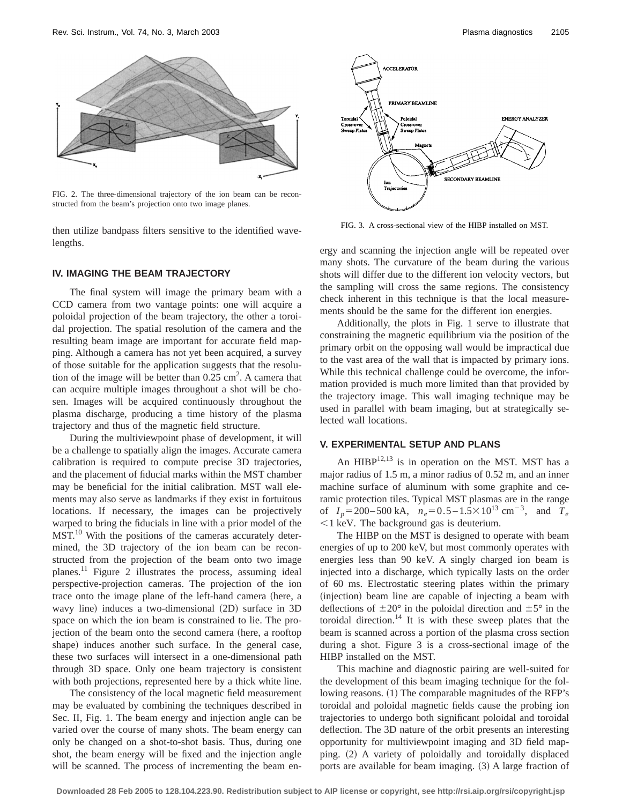

FIG. 2. The three-dimensional trajectory of the ion beam can be reconstructed from the beam's projection onto two image planes.

then utilize bandpass filters sensitive to the identified wavelengths.

### **IV. IMAGING THE BEAM TRAJECTORY**

The final system will image the primary beam with a CCD camera from two vantage points: one will acquire a poloidal projection of the beam trajectory, the other a toroidal projection. The spatial resolution of the camera and the resulting beam image are important for accurate field mapping. Although a camera has not yet been acquired, a survey of those suitable for the application suggests that the resolution of the image will be better than  $0.25 \text{ cm}^2$ . A camera that can acquire multiple images throughout a shot will be chosen. Images will be acquired continuously throughout the plasma discharge, producing a time history of the plasma trajectory and thus of the magnetic field structure.

During the multiviewpoint phase of development, it will be a challenge to spatially align the images. Accurate camera calibration is required to compute precise 3D trajectories, and the placement of fiducial marks within the MST chamber may be beneficial for the initial calibration. MST wall elements may also serve as landmarks if they exist in fortuitous locations. If necessary, the images can be projectively warped to bring the fiducials in line with a prior model of the MST.<sup>10</sup> With the positions of the cameras accurately determined, the 3D trajectory of the ion beam can be reconstructed from the projection of the beam onto two image planes.11 Figure 2 illustrates the process, assuming ideal perspective-projection cameras. The projection of the ion trace onto the image plane of the left-hand camera (here, a wavy line) induces a two-dimensional (2D) surface in 3D space on which the ion beam is constrained to lie. The projection of the beam onto the second camera (here, a rooftop shape) induces another such surface. In the general case, these two surfaces will intersect in a one-dimensional path through 3D space. Only one beam trajectory is consistent with both projections, represented here by a thick white line.

The consistency of the local magnetic field measurement may be evaluated by combining the techniques described in Sec. II, Fig. 1. The beam energy and injection angle can be varied over the course of many shots. The beam energy can only be changed on a shot-to-shot basis. Thus, during one shot, the beam energy will be fixed and the injection angle will be scanned. The process of incrementing the beam en-



FIG. 3. A cross-sectional view of the HIBP installed on MST.

ergy and scanning the injection angle will be repeated over many shots. The curvature of the beam during the various shots will differ due to the different ion velocity vectors, but the sampling will cross the same regions. The consistency check inherent in this technique is that the local measurements should be the same for the different ion energies.

Additionally, the plots in Fig. 1 serve to illustrate that constraining the magnetic equilibrium via the position of the primary orbit on the opposing wall would be impractical due to the vast area of the wall that is impacted by primary ions. While this technical challenge could be overcome, the information provided is much more limited than that provided by the trajectory image. This wall imaging technique may be used in parallel with beam imaging, but at strategically selected wall locations.

## **V. EXPERIMENTAL SETUP AND PLANS**

An  $HIBP<sup>12,13</sup>$  is in operation on the MST. MST has a major radius of 1.5 m, a minor radius of 0.52 m, and an inner machine surface of aluminum with some graphite and ceramic protection tiles. Typical MST plasmas are in the range of  $I_p = 200 - 500 \text{ kA}$ ,  $n_e = 0.5 - 1.5 \times 10^{13} \text{ cm}^{-3}$ , and  $T_e$  $<$ 1 keV. The background gas is deuterium.

The HIBP on the MST is designed to operate with beam energies of up to 200 keV, but most commonly operates with energies less than 90 keV. A singly charged ion beam is injected into a discharge, which typically lasts on the order of 60 ms. Electrostatic steering plates within the primary (injection) beam line are capable of injecting a beam with deflections of  $\pm 20^{\circ}$  in the poloidal direction and  $\pm 5^{\circ}$  in the toroidal direction.<sup>14</sup> It is with these sweep plates that the beam is scanned across a portion of the plasma cross section during a shot. Figure 3 is a cross-sectional image of the HIBP installed on the MST.

This machine and diagnostic pairing are well-suited for the development of this beam imaging technique for the following reasons. (1) The comparable magnitudes of the RFP's toroidal and poloidal magnetic fields cause the probing ion trajectories to undergo both significant poloidal and toroidal deflection. The 3D nature of the orbit presents an interesting opportunity for multiviewpoint imaging and 3D field mapping. (2) A variety of poloidally and toroidally displaced ports are available for beam imaging.  $(3)$  A large fraction of